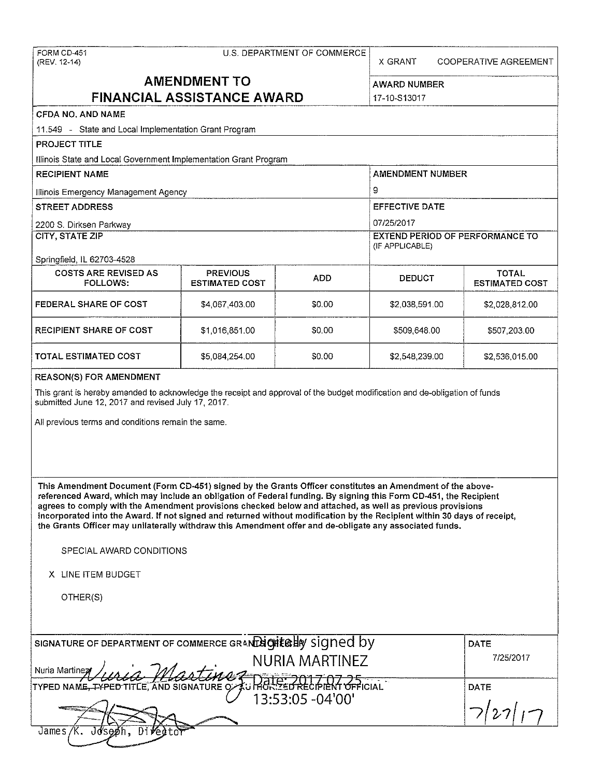#### FORM CD-451 COMMERCE U.S. DEPARTMENT OF COMMERCE

(REV. 12-14) X GRANT COOPERATIVE AGREEMENT

# **AMENDMENT TO FINANCIAL ASSISTANCE AWARD** 17-10-S13017

# **CFDA NO. AND NAME**

11.549 - **State and Local Implementation Grant Program** 

**PROJECT TITLE** 

Illinois State and Local Government Implementation Grant Program

| <b>RECIPIENT NAME</b>                   |                                          |       | <b>AMENDMENT NUMBER</b>                                   |                                       |  |
|-----------------------------------------|------------------------------------------|-------|-----------------------------------------------------------|---------------------------------------|--|
| Illinois Emergency Management Agency    |                                          |       | 9                                                         |                                       |  |
| <b>STREET ADDRESS</b>                   |                                          |       | <b>EFFECTIVE DATE</b>                                     |                                       |  |
| 2200 S. Dirksen Parkway                 |                                          |       | 07/25/2017                                                |                                       |  |
| CITY, STATE ZIP                         |                                          |       | <b>EXTEND PERIOD OF PERFORMANCE TO</b><br>(IF APPLICABLE) |                                       |  |
| Springfield, IL 62703-4528              |                                          |       |                                                           |                                       |  |
| <b>COSTS ARE REVISED AS</b><br>FOLLOWS: | <b>PREVIOUS</b><br><b>ESTIMATED COST</b> | ADD.  | <b>DEDUCT</b>                                             | <b>TOTAL</b><br><b>ESTIMATED COST</b> |  |
| EEDERAL SHARE OF COST                   | <b>A ART JOB OD</b>                      | ፍስ ሰበ | <b>AD NAR 501 NA</b>                                      | <b>AD 028 812 00</b>                  |  |

| FEDERAL SHARE OF COST   | \$4,067,403.00 | \$0.00 | \$2,038,591.00 | \$2,028,812.00 |
|-------------------------|----------------|--------|----------------|----------------|
| RECIPIENT SHARE OF COST | \$1,016,851.00 | \$0.00 | \$509,648.00   | \$507,203.00   |
| TOTAL ESTIMATED COST.   | \$5,084,254.00 | \$0.00 | \$2,548,239.00 | \$2,536,015.00 |

#### **REASON(S) FOR AMENDMENT**

This grant is hereby amended to acknowledge the receipt and approval of the budget modification and de-obligation of funds submitted June 12, 2017 and revised July 17, 2017.

**All previous terms and conditions remain the same.** 

**This Amendment Document (Form CD-451) signed by the Grants Officer constitutes an Amendment of the abovereferenced Award1 which may include an obligation of Federal funding. By signing this Form CD~451, the Recipient agrees to comply with the Amendment provisions checked below and attached, as well as previous provisions incorporated into the Award. If not signed and returned without modification by the Recipient within 30 days of receipt, the Grants Officer may unilaterally withdraw this Amendment offer and de-obligate any associated funds.** 

SPECIAL AWARD CONDITIONS

**X** LINE ITEM BUDGET

OTHER(S)

| SIGNATURE OF DEPARTMENT OF COMMERCE GRAND GITE OF SIGNED by | <b>DATE</b> |
|-------------------------------------------------------------|-------------|
| NURIA MARTINEZ                                              | 7/25/2017   |
| Nuria Martinez Lered Martine - 13:53:05 -04'00'             | <b>DATE</b> |
|                                                             | 7 27        |
|                                                             |             |
| James                                                       |             |